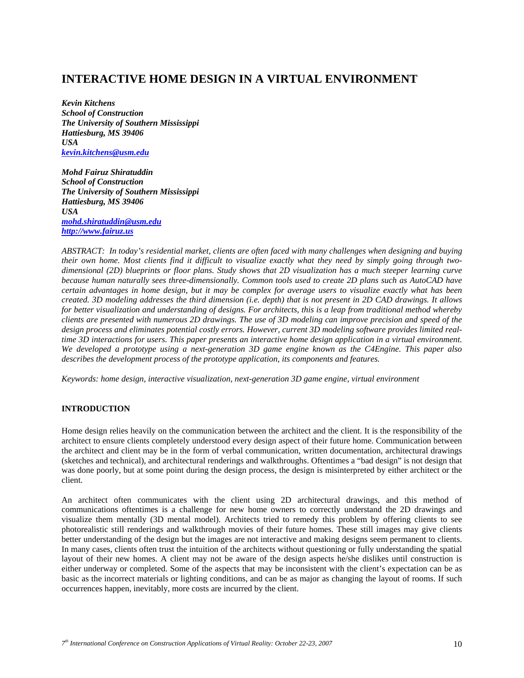# **INTERACTIVE HOME DESIGN IN A VIRTUAL ENVIRONMENT**

*Kevin Kitchens School of Construction The University of Southern Mississippi Hattiesburg, MS 39406 USA kevin.kitchens@usm.edu*

*Mohd Fairuz Shiratuddin School of Construction The University of Southern Mississippi Hattiesburg, MS 39406 USA mohd.shiratuddin@usm.edu http://www.fairuz.us*

*ABSTRACT: In today's residential market, clients are often faced with many challenges when designing and buying their own home. Most clients find it difficult to visualize exactly what they need by simply going through twodimensional (2D) blueprints or floor plans. Study shows that 2D visualization has a much steeper learning curve because human naturally sees three-dimensionally. Common tools used to create 2D plans such as AutoCAD have certain advantages in home design, but it may be complex for average users to visualize exactly what has been created. 3D modeling addresses the third dimension (i.e. depth) that is not present in 2D CAD drawings. It allows for better visualization and understanding of designs. For architects, this is a leap from traditional method whereby clients are presented with numerous 2D drawings. The use of 3D modeling can improve precision and speed of the design process and eliminates potential costly errors. However, current 3D modeling software provides limited realtime 3D interactions for users. This paper presents an interactive home design application in a virtual environment. We developed a prototype using a next-generation 3D game engine known as the C4Engine. This paper also describes the development process of the prototype application, its components and features.* 

*Keywords: home design, interactive visualization, next-generation 3D game engine, virtual environment* 

# **INTRODUCTION**

Home design relies heavily on the communication between the architect and the client. It is the responsibility of the architect to ensure clients completely understood every design aspect of their future home. Communication between the architect and client may be in the form of verbal communication, written documentation, architectural drawings (sketches and technical), and architectural renderings and walkthroughs. Oftentimes a "bad design" is not design that was done poorly, but at some point during the design process, the design is misinterpreted by either architect or the client.

An architect often communicates with the client using 2D architectural drawings, and this method of communications oftentimes is a challenge for new home owners to correctly understand the 2D drawings and visualize them mentally (3D mental model). Architects tried to remedy this problem by offering clients to see photorealistic still renderings and walkthrough movies of their future homes. These still images may give clients better understanding of the design but the images are not interactive and making designs seem permanent to clients. In many cases, clients often trust the intuition of the architects without questioning or fully understanding the spatial layout of their new homes. A client may not be aware of the design aspects he/she dislikes until construction is either underway or completed. Some of the aspects that may be inconsistent with the client's expectation can be as basic as the incorrect materials or lighting conditions, and can be as major as changing the layout of rooms. If such occurrences happen, inevitably, more costs are incurred by the client.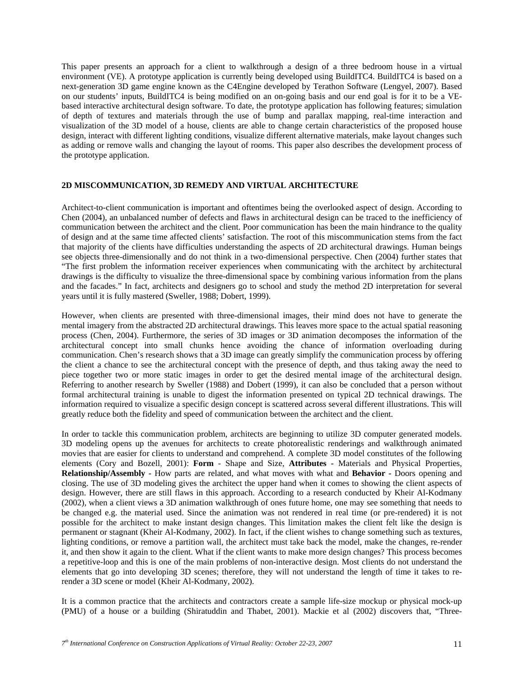This paper presents an approach for a client to walkthrough a design of a three bedroom house in a virtual environment (VE). A prototype application is currently being developed using BuildITC4. BuildITC4 is based on a next-generation 3D game engine known as the C4Engine developed by Terathon Software (Lengyel, 2007). Based on our students' inputs, BuildITC4 is being modified on an on-going basis and our end goal is for it to be a VEbased interactive architectural design software. To date, the prototype application has following features; simulation of depth of textures and materials through the use of bump and parallax mapping, real-time interaction and visualization of the 3D model of a house, clients are able to change certain characteristics of the proposed house design, interact with different lighting conditions, visualize different alternative materials, make layout changes such as adding or remove walls and changing the layout of rooms. This paper also describes the development process of the prototype application.

#### **2D MISCOMMUNICATION, 3D REMEDY AND VIRTUAL ARCHITECTURE**

Architect-to-client communication is important and oftentimes being the overlooked aspect of design. According to Chen (2004), an unbalanced number of defects and flaws in architectural design can be traced to the inefficiency of communication between the architect and the client. Poor communication has been the main hindrance to the quality of design and at the same time affected clients' satisfaction. The root of this miscommunication stems from the fact that majority of the clients have difficulties understanding the aspects of 2D architectural drawings. Human beings see objects three-dimensionally and do not think in a two-dimensional perspective. Chen (2004) further states that "The first problem the information receiver experiences when communicating with the architect by architectural drawings is the difficulty to visualize the three-dimensional space by combining various information from the plans and the facades." In fact, architects and designers go to school and study the method 2D interpretation for several years until it is fully mastered (Sweller, 1988; Dobert, 1999).

However, when clients are presented with three-dimensional images, their mind does not have to generate the mental imagery from the abstracted 2D architectural drawings. This leaves more space to the actual spatial reasoning process (Chen, 2004). Furthermore, the series of 3D images or 3D animation decomposes the information of the architectural concept into small chunks hence avoiding the chance of information overloading during communication. Chen's research shows that a 3D image can greatly simplify the communication process by offering the client a chance to see the architectural concept with the presence of depth, and thus taking away the need to piece together two or more static images in order to get the desired mental image of the architectural design. Referring to another research by Sweller (1988) and Dobert (1999), it can also be concluded that a person without formal architectural training is unable to digest the information presented on typical 2D technical drawings. The information required to visualize a specific design concept is scattered across several different illustrations. This will greatly reduce both the fidelity and speed of communication between the architect and the client.

In order to tackle this communication problem, architects are beginning to utilize 3D computer generated models. 3D modeling opens up the avenues for architects to create photorealistic renderings and walkthrough animated movies that are easier for clients to understand and comprehend. A complete 3D model constitutes of the following elements (Cory and Bozell, 2001): **Form** - Shape and Size, **Attributes -** Materials and Physical Properties, **Relationship/Assembly -** How parts are related, and what moves with what and **Behavior -** Doors opening and closing. The use of 3D modeling gives the architect the upper hand when it comes to showing the client aspects of design. However, there are still flaws in this approach. According to a research conducted by Kheir Al-Kodmany (2002), when a client views a 3D animation walkthrough of ones future home, one may see something that needs to be changed e.g. the material used. Since the animation was not rendered in real time (or pre-rendered) it is not possible for the architect to make instant design changes. This limitation makes the client felt like the design is permanent or stagnant (Kheir Al-Kodmany, 2002). In fact, if the client wishes to change something such as textures, lighting conditions, or remove a partition wall, the architect must take back the model, make the changes, re-render it, and then show it again to the client. What if the client wants to make more design changes? This process becomes a repetitive-loop and this is one of the main problems of non-interactive design. Most clients do not understand the elements that go into developing 3D scenes; therefore, they will not understand the length of time it takes to rerender a 3D scene or model (Kheir Al-Kodmany, 2002).

It is a common practice that the architects and contractors create a sample life-size mockup or physical mock-up (PMU) of a house or a building (Shiratuddin and Thabet, 2001). Mackie et al (2002) discovers that, "Three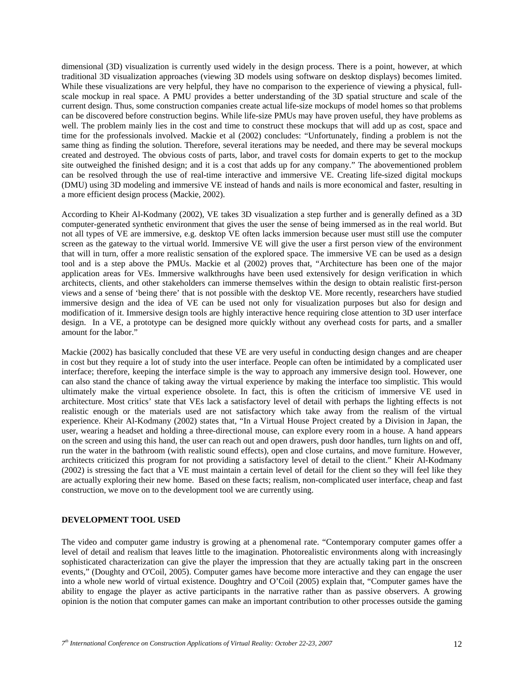dimensional (3D) visualization is currently used widely in the design process. There is a point, however, at which traditional 3D visualization approaches (viewing 3D models using software on desktop displays) becomes limited. While these visualizations are very helpful, they have no comparison to the experience of viewing a physical, fullscale mockup in real space. A PMU provides a better understanding of the 3D spatial structure and scale of the current design. Thus, some construction companies create actual life-size mockups of model homes so that problems can be discovered before construction begins. While life-size PMUs may have proven useful, they have problems as well. The problem mainly lies in the cost and time to construct these mockups that will add up as cost, space and time for the professionals involved. Mackie et al (2002) concludes: "Unfortunately, finding a problem is not the same thing as finding the solution. Therefore, several iterations may be needed, and there may be several mockups created and destroyed. The obvious costs of parts, labor, and travel costs for domain experts to get to the mockup site outweighed the finished design; and it is a cost that adds up for any company." The abovementioned problem can be resolved through the use of real-time interactive and immersive VE. Creating life-sized digital mockups (DMU) using 3D modeling and immersive VE instead of hands and nails is more economical and faster, resulting in a more efficient design process (Mackie, 2002).

According to Kheir Al-Kodmany (2002), VE takes 3D visualization a step further and is generally defined as a 3D computer-generated synthetic environment that gives the user the sense of being immersed as in the real world. But not all types of VE are immersive, e.g. desktop VE often lacks immersion because user must still use the computer screen as the gateway to the virtual world. Immersive VE will give the user a first person view of the environment that will in turn, offer a more realistic sensation of the explored space. The immersive VE can be used as a design tool and is a step above the PMUs. Mackie et al (2002) proves that, "Architecture has been one of the major application areas for VEs. Immersive walkthroughs have been used extensively for design verification in which architects, clients, and other stakeholders can immerse themselves within the design to obtain realistic first-person views and a sense of 'being there' that is not possible with the desktop VE. More recently, researchers have studied immersive design and the idea of VE can be used not only for visualization purposes but also for design and modification of it. Immersive design tools are highly interactive hence requiring close attention to 3D user interface design. In a VE, a prototype can be designed more quickly without any overhead costs for parts, and a smaller amount for the labor."

Mackie (2002) has basically concluded that these VE are very useful in conducting design changes and are cheaper in cost but they require a lot of study into the user interface. People can often be intimidated by a complicated user interface; therefore, keeping the interface simple is the way to approach any immersive design tool. However, one can also stand the chance of taking away the virtual experience by making the interface too simplistic. This would ultimately make the virtual experience obsolete. In fact, this is often the criticism of immersive VE used in architecture. Most critics' state that VEs lack a satisfactory level of detail with perhaps the lighting effects is not realistic enough or the materials used are not satisfactory which take away from the realism of the virtual experience. Kheir Al-Kodmany (2002) states that, "In a Virtual House Project created by a Division in Japan, the user, wearing a headset and holding a three-directional mouse, can explore every room in a house. A hand appears on the screen and using this hand, the user can reach out and open drawers, push door handles, turn lights on and off, run the water in the bathroom (with realistic sound effects), open and close curtains, and move furniture. However, architects criticized this program for not providing a satisfactory level of detail to the client." Kheir Al-Kodmany (2002) is stressing the fact that a VE must maintain a certain level of detail for the client so they will feel like they are actually exploring their new home. Based on these facts; realism, non-complicated user interface, cheap and fast construction, we move on to the development tool we are currently using.

#### **DEVELOPMENT TOOL USED**

The video and computer game industry is growing at a phenomenal rate. "Contemporary computer games offer a level of detail and realism that leaves little to the imagination. Photorealistic environments along with increasingly sophisticated characterization can give the player the impression that they are actually taking part in the onscreen events," (Doughty and O'Coil, 2005). Computer games have become more interactive and they can engage the user into a whole new world of virtual existence. Doughtry and O'Coil (2005) explain that, "Computer games have the ability to engage the player as active participants in the narrative rather than as passive observers. A growing opinion is the notion that computer games can make an important contribution to other processes outside the gaming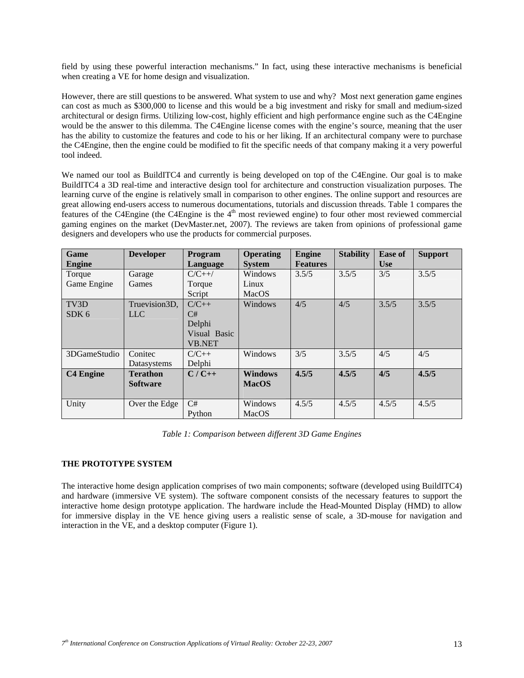field by using these powerful interaction mechanisms." In fact, using these interactive mechanisms is beneficial when creating a VE for home design and visualization.

However, there are still questions to be answered. What system to use and why? Most next generation game engines can cost as much as \$300,000 to license and this would be a big investment and risky for small and medium-sized architectural or design firms. Utilizing low-cost, highly efficient and high performance engine such as the C4Engine would be the answer to this dilemma. The C4Engine license comes with the engine's source, meaning that the user has the ability to customize the features and code to his or her liking. If an architectural company were to purchase the C4Engine, then the engine could be modified to fit the specific needs of that company making it a very powerful tool indeed.

We named our tool as BuildITC4 and currently is being developed on top of the C4Engine. Our goal is to make BuildITC4 a 3D real-time and interactive design tool for architecture and construction visualization purposes. The learning curve of the engine is relatively small in comparison to other engines. The online support and resources are great allowing end-users access to numerous documentations, tutorials and discussion threads. Table 1 compares the features of the C4Engine (the C4Engine is the 4<sup>th</sup> most reviewed engine) to four other most reviewed commercial gaming engines on the market (DevMaster.net, 2007). The reviews are taken from opinions of professional game designers and developers who use the products for commercial purposes.

| Game<br><b>Engine</b> | <b>Developer</b> | <b>Program</b><br>Language | <b>Operating</b><br><b>System</b> | <b>Engine</b><br><b>Features</b> | <b>Stability</b> | <b>Ease of</b><br><b>Use</b> | <b>Support</b> |
|-----------------------|------------------|----------------------------|-----------------------------------|----------------------------------|------------------|------------------------------|----------------|
| Torque                | Garage           | $C/C++/$                   | Windows                           | 3.5/5                            | 3.5/5            | 3/5                          | 3.5/5          |
| Game Engine           | Games            | Torque                     | Linux                             |                                  |                  |                              |                |
|                       |                  | Script                     | MacOS                             |                                  |                  |                              |                |
| TV <sub>3</sub> D     | Truevision3D,    | $C/C++$                    | Windows                           | 4/5                              | 4/5              | 3.5/5                        | 3.5/5          |
| SDK <sub>6</sub>      | <b>LLC</b>       | C#                         |                                   |                                  |                  |                              |                |
|                       |                  | Delphi                     |                                   |                                  |                  |                              |                |
|                       |                  | Visual Basic               |                                   |                                  |                  |                              |                |
|                       |                  | <b>VB.NET</b>              |                                   |                                  |                  |                              |                |
| 3DGameStudio          | Conitec          | $C/C++$                    | Windows                           | 3/5                              | 3.5/5            | 4/5                          | 4/5            |
|                       | Datasystems      | Delphi                     |                                   |                                  |                  |                              |                |
| <b>C4 Engine</b>      | <b>Terathon</b>  | $C/C++$                    | <b>Windows</b>                    | 4.5/5                            | 4.5/5            | 4/5                          | 4.5/5          |
|                       | <b>Software</b>  |                            | <b>MacOS</b>                      |                                  |                  |                              |                |
|                       |                  |                            |                                   |                                  |                  |                              |                |
| Unity                 | Over the Edge    | C#                         | Windows                           | 4.5/5                            | 4.5/5            | 4.5/5                        | 4.5/5          |
|                       |                  | Python                     | MacOS                             |                                  |                  |                              |                |

*Table 1: Comparison between different 3D Game Engines* 

# **THE PROTOTYPE SYSTEM**

The interactive home design application comprises of two main components; software (developed using BuildITC4) and hardware (immersive VE system). The software component consists of the necessary features to support the interactive home design prototype application. The hardware include the Head-Mounted Display (HMD) to allow for immersive display in the VE hence giving users a realistic sense of scale, a 3D-mouse for navigation and interaction in the VE, and a desktop computer (Figure 1).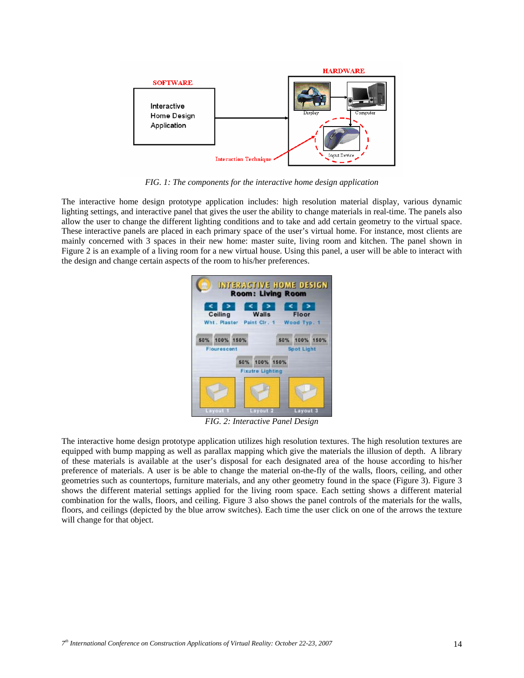

*FIG. 1: The components for the interactive home design application* 

The interactive home design prototype application includes: high resolution material display, various dynamic lighting settings, and interactive panel that gives the user the ability to change materials in real-time. The panels also allow the user to change the different lighting conditions and to take and add certain geometry to the virtual space. These interactive panels are placed in each primary space of the user's virtual home. For instance, most clients are mainly concerned with 3 spaces in their new home: master suite, living room and kitchen. The panel shown in Figure 2 is an example of a living room for a new virtual house. Using this panel, a user will be able to interact with the design and change certain aspects of the room to his/her preferences.



*FIG. 2: Interactive Panel Design* 

The interactive home design prototype application utilizes high resolution textures. The high resolution textures are equipped with bump mapping as well as parallax mapping which give the materials the illusion of depth. A library of these materials is available at the user's disposal for each designated area of the house according to his/her preference of materials. A user is be able to change the material on-the-fly of the walls, floors, ceiling, and other geometries such as countertops, furniture materials, and any other geometry found in the space (Figure 3). Figure 3 shows the different material settings applied for the living room space. Each setting shows a different material combination for the walls, floors, and ceiling. Figure 3 also shows the panel controls of the materials for the walls, floors, and ceilings (depicted by the blue arrow switches). Each time the user click on one of the arrows the texture will change for that object.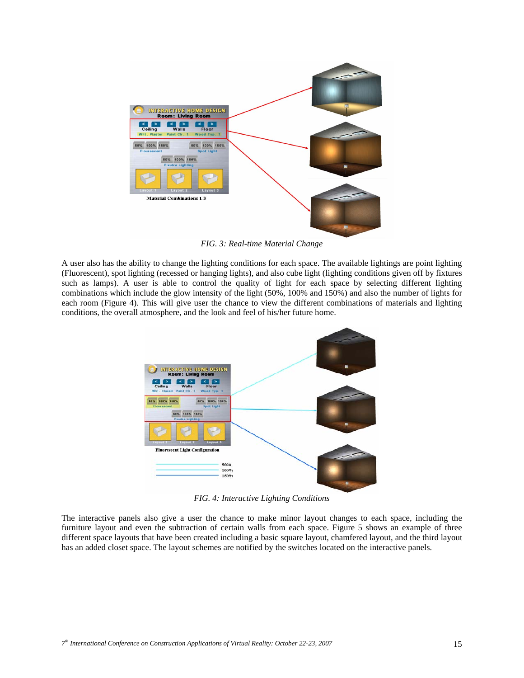

*FIG. 3: Real-time Material Change* 

A user also has the ability to change the lighting conditions for each space. The available lightings are point lighting (Fluorescent), spot lighting (recessed or hanging lights), and also cube light (lighting conditions given off by fixtures such as lamps). A user is able to control the quality of light for each space by selecting different lighting combinations which include the glow intensity of the light (50%, 100% and 150%) and also the number of lights for each room (Figure 4). This will give user the chance to view the different combinations of materials and lighting conditions, the overall atmosphere, and the look and feel of his/her future home.



*FIG. 4: Interactive Lighting Conditions* 

The interactive panels also give a user the chance to make minor layout changes to each space, including the furniture layout and even the subtraction of certain walls from each space. Figure 5 shows an example of three different space layouts that have been created including a basic square layout, chamfered layout, and the third layout has an added closet space. The layout schemes are notified by the switches located on the interactive panels.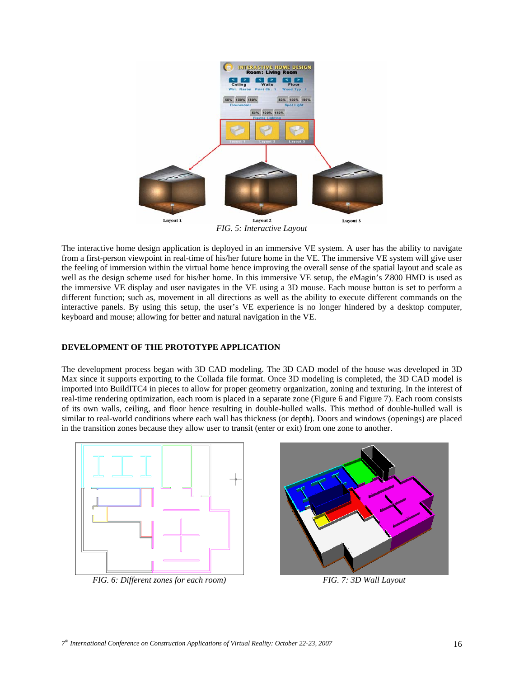

*FIG. 5: Interactive Layout* 

The interactive home design application is deployed in an immersive VE system. A user has the ability to navigate from a first-person viewpoint in real-time of his/her future home in the VE. The immersive VE system will give user the feeling of immersion within the virtual home hence improving the overall sense of the spatial layout and scale as well as the design scheme used for his/her home. In this immersive VE setup, the eMagin's Z800 HMD is used as the immersive VE display and user navigates in the VE using a 3D mouse. Each mouse button is set to perform a different function; such as, movement in all directions as well as the ability to execute different commands on the interactive panels. By using this setup, the user's VE experience is no longer hindered by a desktop computer, keyboard and mouse; allowing for better and natural navigation in the VE.

#### **DEVELOPMENT OF THE PROTOTYPE APPLICATION**

The development process began with 3D CAD modeling. The 3D CAD model of the house was developed in 3D Max since it supports exporting to the Collada file format. Once 3D modeling is completed, the 3D CAD model is imported into BuildITC4 in pieces to allow for proper geometry organization, zoning and texturing. In the interest of real-time rendering optimization, each room is placed in a separate zone (Figure 6 and Figure 7). Each room consists of its own walls, ceiling, and floor hence resulting in double-hulled walls. This method of double-hulled wall is similar to real-world conditions where each wall has thickness (or depth). Doors and windows (openings) are placed in the transition zones because they allow user to transit (enter or exit) from one zone to another.



*FIG. 6: Different zones for each room) FIG. 7: 3D Wall Layout* 

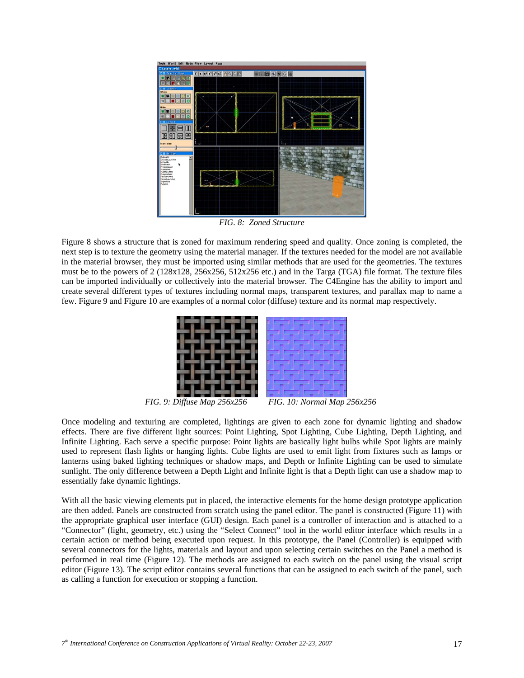

*FIG. 8: Zoned Structure* 

Figure 8 shows a structure that is zoned for maximum rendering speed and quality. Once zoning is completed, the next step is to texture the geometry using the material manager. If the textures needed for the model are not available in the material browser, they must be imported using similar methods that are used for the geometries. The textures must be to the powers of 2 (128x128, 256x256, 512x256 etc.) and in the Targa (TGA) file format. The texture files can be imported individually or collectively into the material browser. The C4Engine has the ability to import and create several different types of textures including normal maps, transparent textures, and parallax map to name a few. Figure 9 and Figure 10 are examples of a normal color (diffuse) texture and its normal map respectively.



*FIG. 9: Diffuse Map 256x256 FIG. 10: Normal Map 256x256* 

Once modeling and texturing are completed, lightings are given to each zone for dynamic lighting and shadow effects. There are five different light sources: Point Lighting, Spot Lighting, Cube Lighting, Depth Lighting, and Infinite Lighting. Each serve a specific purpose: Point lights are basically light bulbs while Spot lights are mainly used to represent flash lights or hanging lights. Cube lights are used to emit light from fixtures such as lamps or lanterns using baked lighting techniques or shadow maps, and Depth or Infinite Lighting can be used to simulate sunlight. The only difference between a Depth Light and Infinite light is that a Depth light can use a shadow map to essentially fake dynamic lightings.

With all the basic viewing elements put in placed, the interactive elements for the home design prototype application are then added. Panels are constructed from scratch using the panel editor. The panel is constructed (Figure 11) with the appropriate graphical user interface (GUI) design. Each panel is a controller of interaction and is attached to a "Connector" (light, geometry, etc.) using the "Select Connect" tool in the world editor interface which results in a certain action or method being executed upon request. In this prototype, the Panel (Controller) is equipped with several connectors for the lights, materials and layout and upon selecting certain switches on the Panel a method is performed in real time (Figure 12). The methods are assigned to each switch on the panel using the visual script editor (Figure 13). The script editor contains several functions that can be assigned to each switch of the panel, such as calling a function for execution or stopping a function.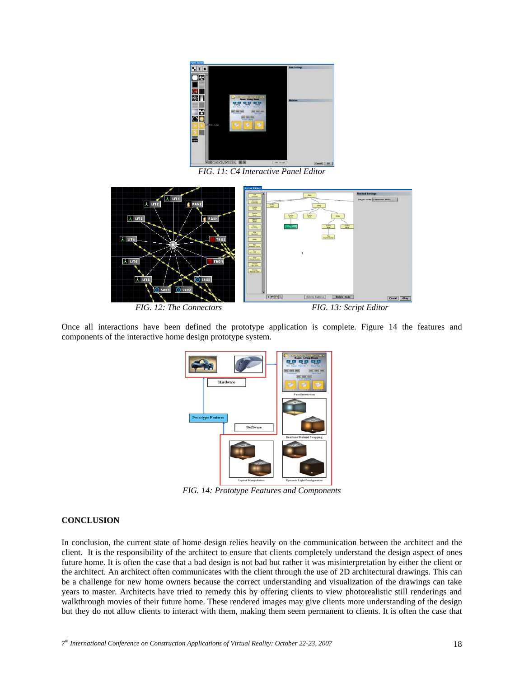

*FIG. 11: C4 Interactive Panel Editor* 



Once all interactions have been defined the prototype application is complete. Figure 14 the features and components of the interactive home design prototype system.



*FIG. 14: Prototype Features and Components* 

#### **CONCLUSION**

In conclusion, the current state of home design relies heavily on the communication between the architect and the client. It is the responsibility of the architect to ensure that clients completely understand the design aspect of ones future home. It is often the case that a bad design is not bad but rather it was misinterpretation by either the client or the architect. An architect often communicates with the client through the use of 2D architectural drawings. This can be a challenge for new home owners because the correct understanding and visualization of the drawings can take years to master. Architects have tried to remedy this by offering clients to view photorealistic still renderings and walkthrough movies of their future home. These rendered images may give clients more understanding of the design but they do not allow clients to interact with them, making them seem permanent to clients. It is often the case that